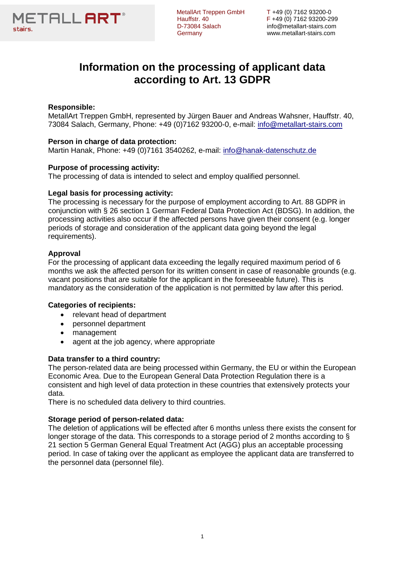

D-73084 Salach info@metallart-stairs.com

MetallArt Treppen GmbH T +49 (0) 7162 93200-0<br>Hauffstr. 40 F +49 (0) 7162 93200-299 Hauffstr. 40 F +49 (0) 7162 93200-299 Germany www.metallart-stairs.com

# **Information on the processing of applicant data according to Art. 13 GDPR**

# **Responsible:**

MetallArt Treppen GmbH, represented by Jürgen Bauer and Andreas Wahsner, Hauffstr. 40, 73084 Salach, Germany, Phone: +49 (0)7162 93200-0, e-mail: [info@metallart-stairs.com](mailto:info@metallart-stairs.com)

# **Person in charge of data protection:**

Martin Hanak, Phone: +49 (0)7161 3540262, e-mail: [info@hanak-datenschutz.de](mailto:info@hanak-datenschutz.de)

# **Purpose of processing activity:**

The processing of data is intended to select and employ qualified personnel.

# **Legal basis for processing activity:**

The processing is necessary for the purpose of employment according to Art. 88 GDPR in conjunction with § 26 section 1 German Federal Data Protection Act (BDSG). In addition, the processing activities also occur if the affected persons have given their consent (e.g. longer periods of storage and consideration of the applicant data going beyond the legal requirements).

# **Approval**

For the processing of applicant data exceeding the legally required maximum period of 6 months we ask the affected person for its written consent in case of reasonable grounds (e.g. vacant positions that are suitable for the applicant in the foreseeable future). This is mandatory as the consideration of the application is not permitted by law after this period.

# **Categories of recipients:**

- relevant head of department
- personnel department
- management
- agent at the job agency, where appropriate

# **Data transfer to a third country:**

The person-related data are being processed within Germany, the EU or within the European Economic Area. Due to the European General Data Protection Regulation there is a consistent and high level of data protection in these countries that extensively protects your data.

There is no scheduled data delivery to third countries.

#### **Storage period of person-related data:**

The deletion of applications will be effected after 6 months unless there exists the consent for longer storage of the data. This corresponds to a storage period of 2 months according to § 21 section 5 German General Equal Treatment Act (AGG) plus an acceptable processing period. In case of taking over the applicant as employee the applicant data are transferred to the personnel data (personnel file).